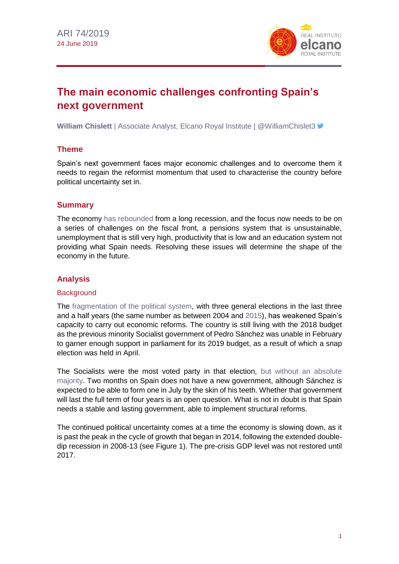

# **The main economic challenges confronting Spain's next government**

**William Chislett** | Associate Analyst, Elcano Royal Institute | @WilliamChislet3

## **Theme**

Spain's next government faces major economic challenges and to overcome them it needs to regain the reformist momentum that used to characterise the country before political uncertainty set in.

## **Summary**

The economy [has rebounded](https://blog.realinstitutoelcano.org/en/spain-finally-bounces-back-after-nine-years/) from a long recession, and the focus now needs to be on a series of challenges on the fiscal front, a pensions system that is unsustainable, unemployment that is still very high, productivity that is low and an education system not providing what Spain needs. Resolving these issues will determine the shape of the economy in the future.

# **Analysis**

## **Background**

The [fragmentation of the political system,](http://www.realinstitutoelcano.org/wps/portal/rielcano_en/contenido?WCM_GLOBAL_CONTEXT=/elcano/elcano_in/zonas_in/llaudes-oteroiglesias-general-elections-in-spain-from-two-to-multiple-party-system) with three general elections in the last three and a half years (the same number as between 2004 and [2015\)](http://www.realinstitutoelcano.org/wps/portal/rielcano_en/contenido?WCM_GLOBAL_CONTEXT=/elcano/elcano_in/zonas_in/2015-spanish-general-elections-foreign-policy-doc), has weakened Spain's capacity to carry out economic reforms. The country is still living with the 2018 budget as the previous minority Socialist government of Pedro Sánchez was unable in February to garner enough support in parliament for its 2019 budget, as a result of which a snap election was held in April.

The Socialists were the most voted party in that election, [but without an absolute](http://www.realinstitutoelcano.org/wps/portal/rielcano_en/contenido?WCM_GLOBAL_CONTEXT=/elcano/elcano_in/zonas_in/commentary-chislett-socialists-won-spains-third-general-election-in-less-than-four-years-but-without-governing-majority)  [majority.](http://www.realinstitutoelcano.org/wps/portal/rielcano_en/contenido?WCM_GLOBAL_CONTEXT=/elcano/elcano_in/zonas_in/commentary-chislett-socialists-won-spains-third-general-election-in-less-than-four-years-but-without-governing-majority) Two months on Spain does not have a new government, although Sánchez is expected to be able to form one in July by the skin of his teeth. Whether that government will last the full term of four years is an open question. What is not in doubt is that Spain needs a stable and lasting government, able to implement structural reforms.

The continued political uncertainty comes at a time the economy is slowing down, as it is past the peak in the cycle of growth that began in 2014, following the extended doubledip recession in 2008-13 (see Figure 1). The pre-crisis GDP level was not restored until 2017.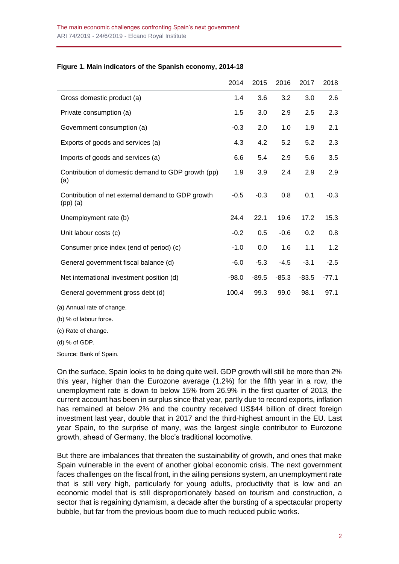#### **Figure 1. Main indicators of the Spanish economy, 2014-18**

|                                                                 | 2014    | 2015    | 2016    | 2017    | 2018    |
|-----------------------------------------------------------------|---------|---------|---------|---------|---------|
| Gross domestic product (a)                                      | 1.4     | 3.6     | 3.2     | 3.0     | 2.6     |
| Private consumption (a)                                         | 1.5     | 3.0     | 2.9     | 2.5     | 2.3     |
| Government consumption (a)                                      | $-0.3$  | 2.0     | 1.0     | 1.9     | 2.1     |
| Exports of goods and services (a)                               | 4.3     | 4.2     | 5.2     | 5.2     | 2.3     |
| Imports of goods and services (a)                               | 6.6     | 5.4     | 2.9     | 5.6     | 3.5     |
| Contribution of domestic demand to GDP growth (pp)<br>(a)       | 1.9     | 3.9     | 2.4     | 2.9     | 2.9     |
| Contribution of net external demand to GDP growth<br>$(pp)$ (a) | $-0.5$  | $-0.3$  | 0.8     | 0.1     | $-0.3$  |
| Unemployment rate (b)                                           | 24.4    | 22.1    | 19.6    | 17.2    | 15.3    |
| Unit labour costs (c)                                           | $-0.2$  | 0.5     | $-0.6$  | 0.2     | 0.8     |
| Consumer price index (end of period) (c)                        | $-1.0$  | 0.0     | 1.6     | 1.1     | 1.2     |
| General government fiscal balance (d)                           | $-6.0$  | $-5.3$  | $-4.5$  | $-3.1$  | $-2.5$  |
| Net international investment position (d)                       | $-98.0$ | $-89.5$ | $-85.3$ | $-83.5$ | $-77.1$ |
| General government gross debt (d)                               | 100.4   | 99.3    | 99.0    | 98.1    | 97.1    |
| (a) Annual rate of change.                                      |         |         |         |         |         |

(b) % of labour force.

(c) Rate of change.

(d) % of GDP.

Source: Bank of Spain.

On the surface, Spain looks to be doing quite well. GDP growth will still be more than 2% this year, higher than the Eurozone average (1.2%) for the fifth year in a row, the unemployment rate is down to below 15% from 26.9% in the first quarter of 2013, the current account has been in surplus since that year, partly due to record exports, inflation has remained at below 2% and the country received US\$44 billion of direct foreign investment last year, double that in 2017 and the third-highest amount in the EU. Last year Spain, to the surprise of many, was the largest single contributor to Eurozone growth, ahead of Germany, the bloc's traditional locomotive.

But there are imbalances that threaten the sustainability of growth, and ones that make Spain vulnerable in the event of another global economic crisis. The next government faces challenges on the fiscal front, in the ailing pensions system, an unemployment rate that is still very high, particularly for young adults, productivity that is low and an economic model that is still disproportionately based on tourism and construction, a sector that is regaining dynamism, a decade after the bursting of a spectacular property bubble, but far from the previous boom due to much reduced public works.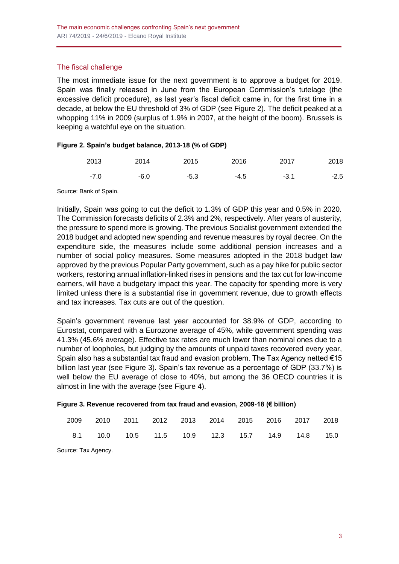### The fiscal challenge

The most immediate issue for the next government is to approve a budget for 2019. Spain was finally released in June from the European Commission's tutelage (the excessive deficit procedure), as last year's fiscal deficit came in, for the first time in a decade, at below the EU threshold of 3% of GDP (see Figure 2). The deficit peaked at a whopping 11% in 2009 (surplus of 1.9% in 2007, at the height of the boom). Brussels is keeping a watchful eye on the situation.

#### **Figure 2. Spain's budget balance, 2013-18 (% of GDP)**

| 2013   | 2014   | 2015   | 2016 | 2017 | 2018   |
|--------|--------|--------|------|------|--------|
| $-7.0$ | $-6.0$ | $-5.3$ | -4.5 | -3.1 | $-2.5$ |

Source: Bank of Spain.

Initially, Spain was going to cut the deficit to 1.3% of GDP this year and 0.5% in 2020. The Commission forecasts deficits of 2.3% and 2%, respectively. After years of austerity, the pressure to spend more is growing. The previous Socialist government extended the 2018 budget and adopted new spending and revenue measures by royal decree. On the expenditure side, the measures include some additional pension increases and a number of social policy measures. Some measures adopted in the 2018 budget law approved by the previous Popular Party government, such as a pay hike for public sector workers, restoring annual inflation-linked rises in pensions and the tax cut for low-income earners, will have a budgetary impact this year. The capacity for spending more is very limited unless there is a substantial rise in government revenue, due to growth effects and tax increases. Tax cuts are out of the question.

Spain's government revenue last year accounted for 38.9% of GDP, according to Eurostat, compared with a Eurozone average of 45%, while government spending was 41.3% (45.6% average). Effective tax rates are much lower than nominal ones due to a number of loopholes, but judging by the amounts of unpaid taxes recovered every year, Spain also has a substantial tax fraud and evasion problem. The Tax Agency netted €15 billion last year (see Figure 3). Spain's tax revenue as a percentage of GDP (33.7%) is well below the EU average of close to 40%, but among the 36 OECD countries it is almost in line with the average (see Figure 4).

| Figure 3. Revenue recovered from tax fraud and evasion, 2009-18 (€ billion) |  |  |  |
|-----------------------------------------------------------------------------|--|--|--|
|                                                                             |  |  |  |

|  |  | 2009 2010 2011 2012 2013 2014 2015 2016 2017 2018         |  |  |  |
|--|--|-----------------------------------------------------------|--|--|--|
|  |  | 8.1  10.0  10.5  11.5  10.9  12.3  15.7  14.9  14.8  15.0 |  |  |  |

Source: Tax Agency.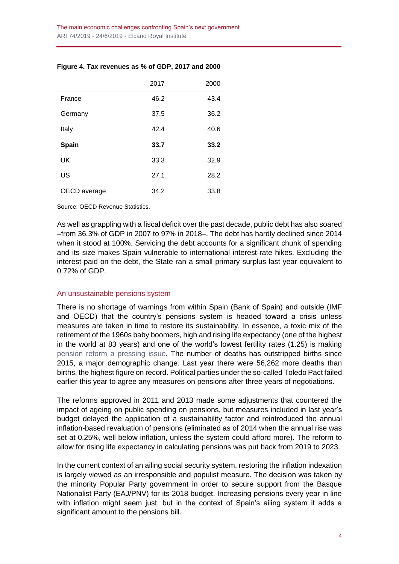|              | 2017 | 2000 |
|--------------|------|------|
| France       | 46.2 | 43.4 |
| Germany      | 37.5 | 36.2 |
| Italy        | 42.4 | 40.6 |
| <b>Spain</b> | 33.7 | 33.2 |
| UK           | 33.3 | 32.9 |
| US           | 27.1 | 28.2 |
| OECD average | 34.2 | 33.8 |

#### **Figure 4. Tax revenues as % of GDP, 2017 and 2000**

Source: OECD Revenue Statistics.

As well as grappling with a fiscal deficit over the past decade, public debt has also soared –from 36.3% of GDP in 2007 to 97% in 2018–. The debt has hardly declined since 2014 when it stood at 100%. Servicing the debt accounts for a significant chunk of spending and its size makes Spain vulnerable to international interest-rate hikes. Excluding the interest paid on the debt, the State ran a small primary surplus last year equivalent to 0.72% of GDP.

#### An unsustainable pensions system

There is no shortage of warnings from within Spain (Bank of Spain) and outside (IMF and OECD) that the country's pensions system is headed toward a crisis unless measures are taken in time to restore its sustainability. In essence, a toxic mix of the retirement of the 1960s baby boomers, high and rising life expectancy (one of the highest in the world at 83 years) and one of the world's lowest fertility rates (1.25) is making [pension reform a pressing issue.](https://blog.realinstitutoelcano.org/en/spains-protests-over-pensions-no-room-for-populist-measures/) The number of deaths has outstripped births since 2015, a major demographic change. Last year there were 56,262 more deaths than births, the highest figure on record. Political parties under the so-called Toledo Pact failed earlier this year to agree any measures on pensions after three years of negotiations.

The reforms approved in 2011 and 2013 made some adjustments that countered the impact of ageing on public spending on pensions, but measures included in last year's budget delayed the application of a sustainability factor and reintroduced the annual inflation-based revaluation of pensions (eliminated as of 2014 when the annual rise was set at 0.25%, well below inflation, unless the system could afford more). The reform to allow for rising life expectancy in calculating pensions was put back from 2019 to 2023.

In the current context of an ailing social security system, restoring the inflation indexation is largely viewed as an irresponsible and populist measure. The decision was taken by the minority Popular Party government in order to secure support from the Basque Nationalist Party (EAJ/PNV) for its 2018 budget. Increasing pensions every year in line with inflation might seem just, but in the context of Spain's ailing system it adds a significant amount to the pensions bill.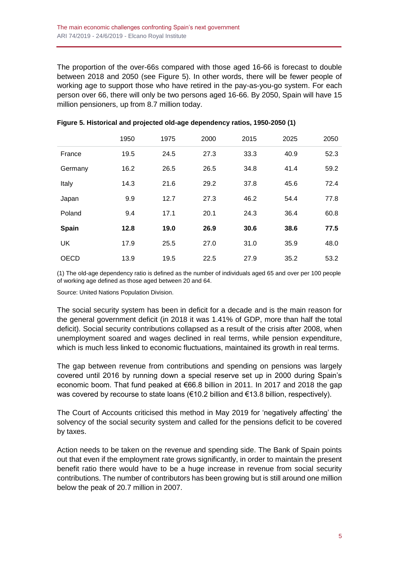The proportion of the over-66s compared with those aged 16-66 is forecast to double between 2018 and 2050 (see Figure 5). In other words, there will be fewer people of working age to support those who have retired in the pay-as-you-go system. For each person over 66, there will only be two persons aged 16-66. By 2050, Spain will have 15 million pensioners, up from 8.7 million today.

|              | 1950 | 1975 | 2000 | 2015 | 2025 | 2050 |
|--------------|------|------|------|------|------|------|
| France       | 19.5 | 24.5 | 27.3 | 33.3 | 40.9 | 52.3 |
| Germany      | 16.2 | 26.5 | 26.5 | 34.8 | 41.4 | 59.2 |
| Italy        | 14.3 | 21.6 | 29.2 | 37.8 | 45.6 | 72.4 |
| Japan        | 9.9  | 12.7 | 27.3 | 46.2 | 54.4 | 77.8 |
| Poland       | 9.4  | 17.1 | 20.1 | 24.3 | 36.4 | 60.8 |
| <b>Spain</b> | 12.8 | 19.0 | 26.9 | 30.6 | 38.6 | 77.5 |
| UK           | 17.9 | 25.5 | 27.0 | 31.0 | 35.9 | 48.0 |
| <b>OECD</b>  | 13.9 | 19.5 | 22.5 | 27.9 | 35.2 | 53.2 |

| Figure 5. Historical and projected old-age dependency ratios, 1950-2050 (1) |  |  |  |
|-----------------------------------------------------------------------------|--|--|--|

(1) The old-age dependency ratio is defined as the number of individuals aged 65 and over per 100 people of working age defined as those aged between 20 and 64.

Source: United Nations Population Division.

The social security system has been in deficit for a decade and is the main reason for the general government deficit (in 2018 it was 1.41% of GDP, more than half the total deficit). Social security contributions collapsed as a result of the crisis after 2008, when unemployment soared and wages declined in real terms, while pension expenditure, which is much less linked to economic fluctuations, maintained its growth in real terms.

The gap between revenue from contributions and spending on pensions was largely covered until 2016 by running down a special reserve set up in 2000 during Spain's economic boom. That fund peaked at €66.8 billion in 2011. In 2017 and 2018 the gap was covered by recourse to state loans ( $€10.2$  billion and  $€13.8$  billion, respectively).

The Court of Accounts criticised this method in May 2019 for 'negatively affecting' the solvency of the social security system and called for the pensions deficit to be covered by taxes.

Action needs to be taken on the revenue and spending side. The Bank of Spain points out that even if the employment rate grows significantly, in order to maintain the present benefit ratio there would have to be a huge increase in revenue from social security contributions. The number of contributors has been growing but is still around one million below the peak of 20.7 million in 2007.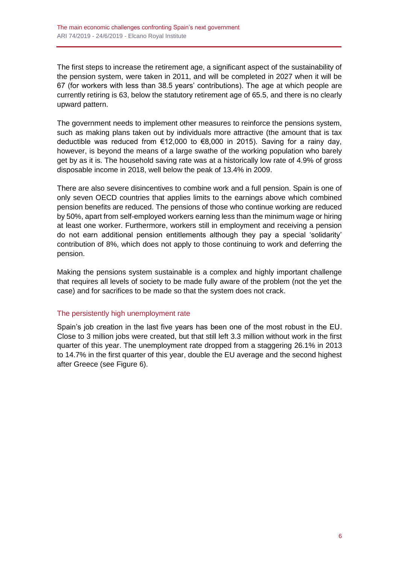The first steps to increase the retirement age, a significant aspect of the sustainability of the pension system, were taken in 2011, and will be completed in 2027 when it will be 67 (for workers with less than 38.5 years' contributions). The age at which people are currently retiring is 63, below the statutory retirement age of 65.5, and there is no clearly upward pattern.

The government needs to implement other measures to reinforce the pensions system, such as making plans taken out by individuals more attractive (the amount that is tax deductible was reduced from €12,000 to €8,000 in 2015). Saving for a rainy day, however, is beyond the means of a large swathe of the working population who barely get by as it is. The household saving rate was at a historically low rate of 4.9% of gross disposable income in 2018, well below the peak of 13.4% in 2009.

There are also severe disincentives to combine work and a full pension. Spain is one of only seven OECD countries that applies limits to the earnings above which combined pension benefits are reduced. The pensions of those who continue working are reduced by 50%, apart from self-employed workers earning less than the minimum wage or hiring at least one worker. Furthermore, workers still in employment and receiving a pension do not earn additional pension entitlements although they pay a special 'solidarity' contribution of 8%, which does not apply to those continuing to work and deferring the pension.

Making the pensions system sustainable is a complex and highly important challenge that requires all levels of society to be made fully aware of the problem (not the yet the case) and for sacrifices to be made so that the system does not crack.

#### The persistently high unemployment rate

Spain's job creation in the last five years has been one of the most robust in the EU. Close to 3 million jobs were created, but that still left 3.3 million without work in the first quarter of this year. The unemployment rate dropped from a staggering 26.1% in 2013 to 14.7% in the first quarter of this year, double the EU average and the second highest after Greece (see Figure 6).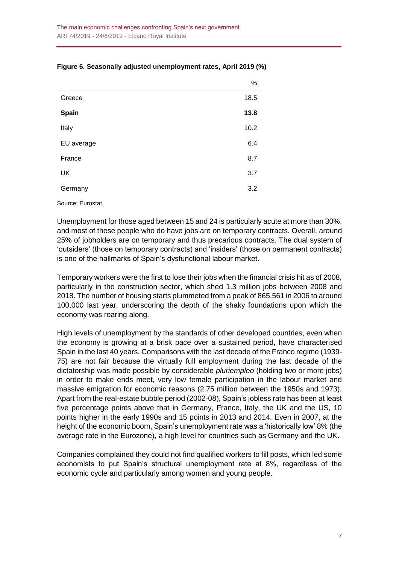|            | %    |
|------------|------|
| Greece     | 18.5 |
| Spain      | 13.8 |
| Italy      | 10.2 |
| EU average | 6.4  |
| France     | 8.7  |
| <b>UK</b>  | 3.7  |
| Germany    | 3.2  |

#### **Figure 6. Seasonally adjusted unemployment rates, April 2019 (%)**

Source: Eurostat.

Unemployment for those aged between 15 and 24 is particularly acute at more than 30%, and most of these people who do have jobs are on temporary contracts. Overall, around 25% of jobholders are on temporary and thus precarious contracts. The dual system of 'outsiders' (those on temporary contracts) and 'insiders' (those on permanent contracts) is one of the hallmarks of Spain's dysfunctional labour market.

Temporary workers were the first to lose their jobs when the financial crisis hit as of 2008, particularly in the construction sector, which shed 1.3 million jobs between 2008 and 2018. The number of housing starts plummeted from a peak of 865,561 in 2006 to around 100,000 last year, underscoring the depth of the shaky foundations upon which the economy was roaring along.

High levels of unemployment by the standards of other developed countries, even when the economy is growing at a brisk pace over a sustained period, have characterised Spain in the last 40 years. Comparisons with the last decade of the Franco regime (1939- 75) are not fair because the virtually full employment during the last decade of the dictatorship was made possible by considerable *pluriempleo* (holding two or more jobs) in order to make ends meet, very low female participation in the labour market and massive emigration for economic reasons (2.75 million between the 1950s and 1973). Apart from the real-estate bubble period (2002-08), Spain's jobless rate has been at least five percentage points above that in Germany, France, Italy, the UK and the US, 10 points higher in the early 1990s and 15 points in 2013 and 2014. Even in 2007, at the height of the economic boom, Spain's unemployment rate was a 'historically low' 8% (the average rate in the Eurozone), a high level for countries such as Germany and the UK.

Companies complained they could not find qualified workers to fill posts, which led some economists to put Spain's structural unemployment rate at 8%, regardless of the economic cycle and particularly among women and young people.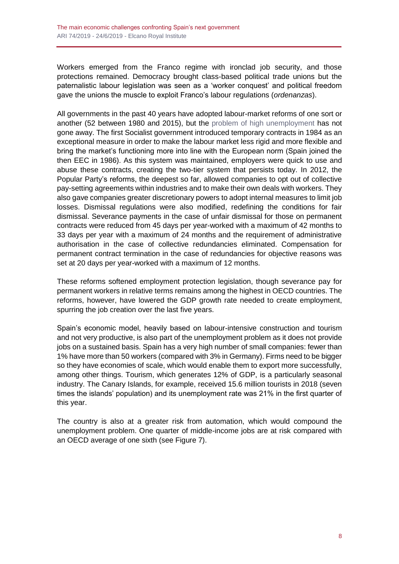Workers emerged from the Franco regime with ironclad job security, and those protections remained. Democracy brought class-based political trade unions but the paternalistic labour legislation was seen as a 'worker conquest' and political freedom gave the unions the muscle to exploit Franco's labour regulations (*ordenanzas*).

All governments in the past 40 years have adopted labour-market reforms of one sort or another (52 between 1980 and 2015), but the [problem of high unemployment](http://www.realinstitutoelcano.org/wps/portal/rielcano_en/contenido?WCM_GLOBAL_CONTEXT=/elcano/elcano_in/zonas_in/ari70-2017-chislett-conundrum-spain-recovering-economy-high-unemployment) has not gone away. The first Socialist government introduced temporary contracts in 1984 as an exceptional measure in order to make the labour market less rigid and more flexible and bring the market's functioning more into line with the European norm (Spain joined the then EEC in 1986). As this system was maintained, employers were quick to use and abuse these contracts, creating the two-tier system that persists today. In 2012, the Popular Party's reforms, the deepest so far, allowed companies to opt out of collective pay-setting agreements within industries and to make their own deals with workers. They also gave companies greater discretionary powers to adopt internal measures to limit job losses. Dismissal regulations were also modified, redefining the conditions for fair dismissal. Severance payments in the case of unfair dismissal for those on permanent contracts were reduced from 45 days per year-worked with a maximum of 42 months to 33 days per year with a maximum of 24 months and the requirement of administrative authorisation in the case of collective redundancies eliminated. Compensation for permanent contract termination in the case of redundancies for objective reasons was set at 20 days per year-worked with a maximum of 12 months.

These reforms softened employment protection legislation, though severance pay for permanent workers in relative terms remains among the highest in OECD countries. The reforms, however, have lowered the GDP growth rate needed to create employment, spurring the job creation over the last five years.

Spain's economic model, heavily based on labour-intensive construction and tourism and not very productive, is also part of the unemployment problem as it does not provide jobs on a sustained basis. Spain has a very high number of small companies: fewer than 1% have more than 50 workers (compared with 3% in Germany). Firms need to be bigger so they have economies of scale, which would enable them to export more successfully, among other things. Tourism, which generates 12% of GDP, is a particularly seasonal industry. The Canary Islands, for example, received 15.6 million tourists in 2018 (seven times the islands' population) and its unemployment rate was 21% in the first quarter of this year.

The country is also at a greater risk from automation, which would compound the unemployment problem. One quarter of middle-income jobs are at risk compared with an OECD average of one sixth (see Figure 7).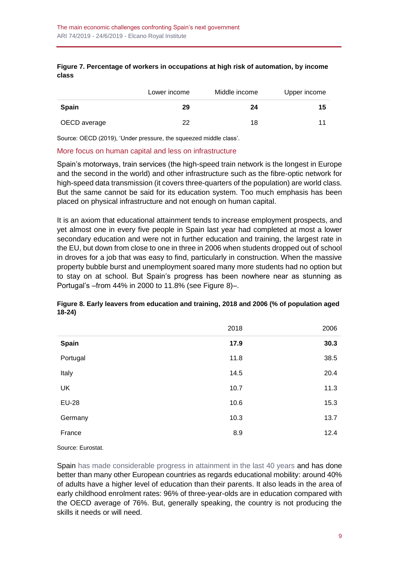#### **Figure 7. Percentage of workers in occupations at high risk of automation, by income class**

|              | Lower income | Middle income | Upper income |
|--------------|--------------|---------------|--------------|
| <b>Spain</b> | 29           | 24            | 15           |
| OECD average | 22           | 18            |              |

Source: OECD (2019), 'Under pressure, the squeezed middle class'.

#### More focus on human capital and less on infrastructure

Spain's motorways, train services (the high-speed train network is the longest in Europe and the second in the world) and other infrastructure such as the fibre-optic network for high-speed data transmission (it covers three-quarters of the population) are world class. But the same cannot be said for its education system. Too much emphasis has been placed on physical infrastructure and not enough on human capital.

It is an axiom that educational attainment tends to increase employment prospects, and yet almost one in every five people in Spain last year had completed at most a lower secondary education and were not in further education and training, the largest rate in the EU, but down from close to one in three in 2006 when students dropped out of school in droves for a job that was easy to find, particularly in construction. When the massive property bubble burst and unemployment soared many more students had no option but to stay on at school. But Spain's progress has been nowhere near as stunning as Portugal's –from 44% in 2000 to 11.8% (see Figure 8)–.

#### **Figure 8. Early leavers from education and training, 2018 and 2006 (% of population aged 18-24)**

|              | 2018 | 2006 |
|--------------|------|------|
| Spain        | 17.9 | 30.3 |
| Portugal     | 11.8 | 38.5 |
| Italy        | 14.5 | 20.4 |
| UK           | 10.7 | 11.3 |
| <b>EU-28</b> | 10.6 | 15.3 |
| Germany      | 10.3 | 13.7 |
| France       | 8.9  | 12.4 |

Source: Eurostat.

Spain [has made considerable progress in attainment in the last 40 years](http://www.realinstitutoelcano.org/wps/portal/rielcano_en/contenido?WCM_GLOBAL_CONTEXT=/elcano/elcano_in/zonas_in/wp1-2018-chislett-forty-years-democratic-spain) and has done better than many other European countries as regards educational mobility: around 40% of adults have a higher level of education than their parents. It also leads in the area of early childhood enrolment rates: 96% of three-year-olds are in education compared with the OECD average of 76%. But, generally speaking, the country is not producing the skills it needs or will need.